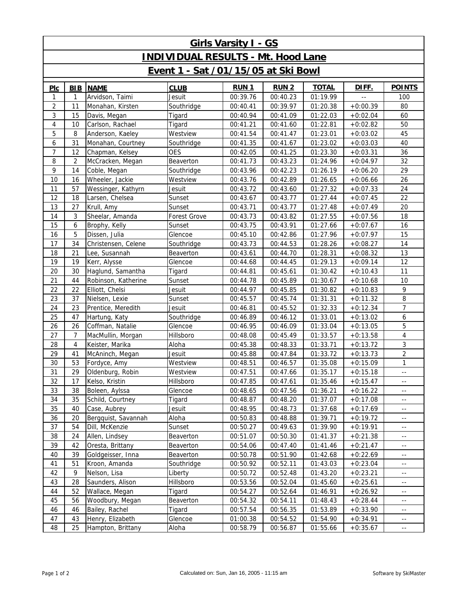| <b>Girls Varsity I - GS</b>               |                |                     |              |             |             |              |              |                                               |  |  |  |  |
|-------------------------------------------|----------------|---------------------|--------------|-------------|-------------|--------------|--------------|-----------------------------------------------|--|--|--|--|
| <b>INDIVIDUAL RESULTS - Mt. Hood Lane</b> |                |                     |              |             |             |              |              |                                               |  |  |  |  |
| Event 1 - Sat /01/15/05 at Ski Bowl       |                |                     |              |             |             |              |              |                                               |  |  |  |  |
| PLC                                       | <b>BIB</b>     | <b>NAME</b>         | <b>CLUB</b>  | <b>RUN1</b> | <b>RUN2</b> | <b>TOTAL</b> | <u>DIFF.</u> | <b>POINTS</b>                                 |  |  |  |  |
| 1                                         | $\mathbf{1}$   | Arvidson, Taimi     | Jesuit       | 00:39.76    | 00:40.23    | 01:19.99     |              | 100                                           |  |  |  |  |
| $\overline{2}$                            | 11             | Monahan, Kirsten    | Southridge   | 00:40.41    | 00:39.97    | 01:20.38     | $+0:00.39$   | 80                                            |  |  |  |  |
| 3                                         | 15             | Davis, Megan        | Tigard       | 00:40.94    | 00:41.09    | 01:22.03     | $+0:02.04$   | 60                                            |  |  |  |  |
| $\overline{4}$                            | 10             | Carlson, Rachael    | Tigard       | 00:41.21    | 00:41.60    | 01:22.81     | $+0:02.82$   | 50                                            |  |  |  |  |
| 5                                         | 8              | Anderson, Kaeley    | Westview     | 00:41.54    | 00:41.47    | 01:23.01     | $+0:03.02$   | 45                                            |  |  |  |  |
| 6                                         | 31             | Monahan, Courtney   | Southridge   | 00:41.35    | 00:41.67    | 01:23.02     | $+0:03.03$   | 40                                            |  |  |  |  |
| $\overline{7}$                            | 12             | Chapman, Kelsey     | <b>OES</b>   | 00:42.05    | 00:41.25    | 01:23.30     | $+0:03.31$   | 36                                            |  |  |  |  |
| 8                                         | $\overline{2}$ | McCracken, Megan    | Beaverton    | 00:41.73    | 00:43.23    | 01:24.96     | $+0:04.97$   | 32                                            |  |  |  |  |
| 9                                         | 14             | Coble, Megan        | Southridge   | 00:43.96    | 00:42.23    | 01:26.19     | $+0:06.20$   | 29                                            |  |  |  |  |
| 10                                        | 16             | Wheeler, Jackie     | Westview     | 00:43.76    | 00:42.89    | 01:26.65     | $+0:06.66$   | 26                                            |  |  |  |  |
| 11                                        | 57             | Wessinger, Kathyrn  | Jesuit       | 00:43.72    | 00:43.60    | 01:27.32     | $+0:07.33$   | 24                                            |  |  |  |  |
| 12                                        | 18             | Larsen, Chelsea     | Sunset       | 00:43.67    | 00:43.77    | 01:27.44     | $+0:07.45$   | 22                                            |  |  |  |  |
| 13                                        | 27             | Krull, Amy          | Sunset       | 00:43.71    | 00:43.77    | 01:27.48     | $+0:07.49$   | 20                                            |  |  |  |  |
| 14                                        | 3              | Sheelar, Amanda     | Forest Grove | 00:43.73    | 00:43.82    | 01:27.55     | $+0:07.56$   | 18                                            |  |  |  |  |
| 15                                        | 6              | Brophy, Kelly       | Sunset       | 00:43.75    | 00:43.91    | 01:27.66     | $+0:07.67$   | 16                                            |  |  |  |  |
| 16                                        | 5              | Dissen, Julia       | Glencoe      | 00:45.10    | 00:42.86    | 01:27.96     | $+0:07.97$   | 15                                            |  |  |  |  |
| 17                                        | 34             | Christensen, Celene | Southridge   | 00:43.73    | 00:44.53    | 01:28.26     | $+0:08.27$   | 14                                            |  |  |  |  |
| 18                                        | 21             | Lee, Susannah       | Beaverton    | 00:43.61    | 00:44.70    | 01:28.31     | $+0:08.32$   | 13                                            |  |  |  |  |
| 19                                        | 19             | Kerr, Alysse        | Glencoe      | 00:44.68    | 00:44.45    | 01:29.13     | $+0:09.14$   | 12                                            |  |  |  |  |
| 20                                        | 30             | Haglund, Samantha   | Tigard       | 00:44.81    | 00:45.61    | 01:30.42     | $+0:10.43$   | 11                                            |  |  |  |  |
| 21                                        | 44             | Robinson, Katherine | Sunset       | 00:44.78    | 00:45.89    | 01:30.67     | $+0:10.68$   | 10                                            |  |  |  |  |
| 22                                        | 22             | Elliott, Chelsi     | Jesuit       | 00:44.97    | 00:45.85    | 01:30.82     | $+0:10.83$   | 9                                             |  |  |  |  |
| 23                                        | 37             | Nielsen, Lexie      | Sunset       | 00:45.57    | 00:45.74    | 01:31.31     | $+0:11.32$   | 8                                             |  |  |  |  |
| 24                                        | 23             | Prentice, Meredith  | Jesuit       | 00:46.81    | 00:45.52    | 01:32.33     | $+0:12.34$   | $\overline{7}$                                |  |  |  |  |
| 25                                        | 47             | Hartung, Katy       | Southridge   | 00:46.89    | 00:46.12    | 01:33.01     | $+0:13.02$   | 6                                             |  |  |  |  |
| 26                                        | 26             | Coffman, Natalie    | Glencoe      | 00:46.95    | 00:46.09    | 01:33.04     | $+0:13.05$   | 5                                             |  |  |  |  |
| 27                                        | $\overline{7}$ | MacMullin, Morgan   | Hillsboro    | 00:48.08    | 00:45.49    | 01:33.57     | $+0:13.58$   | 4                                             |  |  |  |  |
| 28                                        | 4              | Keister, Marika     | Aloha        | 00:45.38    | 00:48.33    | 01:33.71     | $+0:13.72$   | 3                                             |  |  |  |  |
| 29                                        | 41             | McAninch, Megan     | Jesuit       | 00:45.88    | 00:47.84    | 01:33.72     | $+0:13.73$   | $\overline{2}$                                |  |  |  |  |
| 30                                        | 53             | Fordyce, Amy        | Westview     | 00:48.51    | 00:46.57    | 01:35.08     | $+0:15.09$   | $\mathbf{1}$                                  |  |  |  |  |
| 31                                        | 29             | Oldenburg, Robin    | Westview     | 00:47.51    | 00:47.66    | 01:35.17     | $+0:15.18$   | $\overline{\phantom{a}}$                      |  |  |  |  |
| 32                                        | 17             | Kelso, Kristin      | Hillsboro    | 00:47.85    | 00:47.61    | 01:35.46     | $+0:15.47$   | $\mathord{\hspace{1pt}\text{--}\hspace{1pt}}$ |  |  |  |  |
| 33                                        | 38             | Boleen, Aylssa      | Glencoe      | 00:48.65    | 00:47.56    | 01:36.21     | $+0:16.22$   | $\overline{a}$                                |  |  |  |  |
| 34                                        | 35             | Schild, Courtney    | Tigard       | 00:48.87    | 00:48.20    | 01:37.07     | $+0:17.08$   | $\overline{\phantom{a}}$                      |  |  |  |  |
| 35                                        | 40             | Case, Aubrey        | Jesuit       | 00:48.95    | 00:48.73    | 01:37.68     | $+0:17.69$   | $- -$                                         |  |  |  |  |
| 36                                        | 20             | Bergquist, Savannah | Aloha        | 00:50.83    | 00:48.88    | 01:39.71     | $+0:19.72$   | $\overline{a}$                                |  |  |  |  |
| 37                                        | 54             | Dill, McKenzie      | Sunset       | 00:50.27    | 00:49.63    | 01:39.90     | $+0:19.91$   | $\overline{\phantom{a}}$                      |  |  |  |  |
| 38                                        | 24             | Allen, Lindsey      | Beaverton    | 00:51.07    | 00:50.30    | 01:41.37     | $+0:21.38$   | $- -$                                         |  |  |  |  |
| 39                                        | 42             | Oresta, Brittany    | Beaverton    | 00:54.06    | 00:47.40    | 01:41.46     | $+0:21.47$   | $\overline{a}$                                |  |  |  |  |
| 40                                        | 39             | Goldgeisser, Inna   | Beaverton    | 00:50.78    | 00:51.90    | 01:42.68     | $+0:22.69$   | $\overline{\phantom{a}}$                      |  |  |  |  |
| 41                                        | 51             | Kroon, Amanda       | Southridge   | 00:50.92    | 00:52.11    | 01:43.03     | $+0.23.04$   | $- -$                                         |  |  |  |  |
| 42                                        | 9              | Nelson, Lisa        | Liberty      | 00:50.72    | 00:52.48    | 01:43.20     | $+0:23.21$   | $\overline{a}$                                |  |  |  |  |
| 43                                        | 28             | Saunders, Alison    | Hillsboro    | 00:53.56    | 00:52.04    | 01:45.60     | $+0:25.61$   | $\overline{\phantom{a}}$                      |  |  |  |  |
| 44                                        | 52             | Wallace, Megan      | Tigard       | 00:54.27    | 00:52.64    | 01:46.91     | $+0:26.92$   | $\overline{\phantom{a}}$                      |  |  |  |  |
| 45                                        | 56             | Woodbury, Megan     | Beaverton    | 00:54.32    | 00:54.11    | 01:48.43     | $+0:28.44$   | $\overline{\phantom{a}}$                      |  |  |  |  |
| 46                                        | 46             | Bailey, Rachel      | Tigard       | 00:57.54    | 00:56.35    | 01:53.89     | $+0:33.90$   | $\overline{\phantom{a}}$                      |  |  |  |  |
| 47                                        | 43             | Henry, Elizabeth    | Glencoe      | 01:00.38    | 00:54.52    | 01:54.90     | $+0:34.91$   | 44                                            |  |  |  |  |
| 48                                        | 25             | Hampton, Brittany   | Aloha        | 00:58.79    | 00:56.87    | 01:55.66     | $+0:35.67$   | $\overline{\phantom{a}}$                      |  |  |  |  |